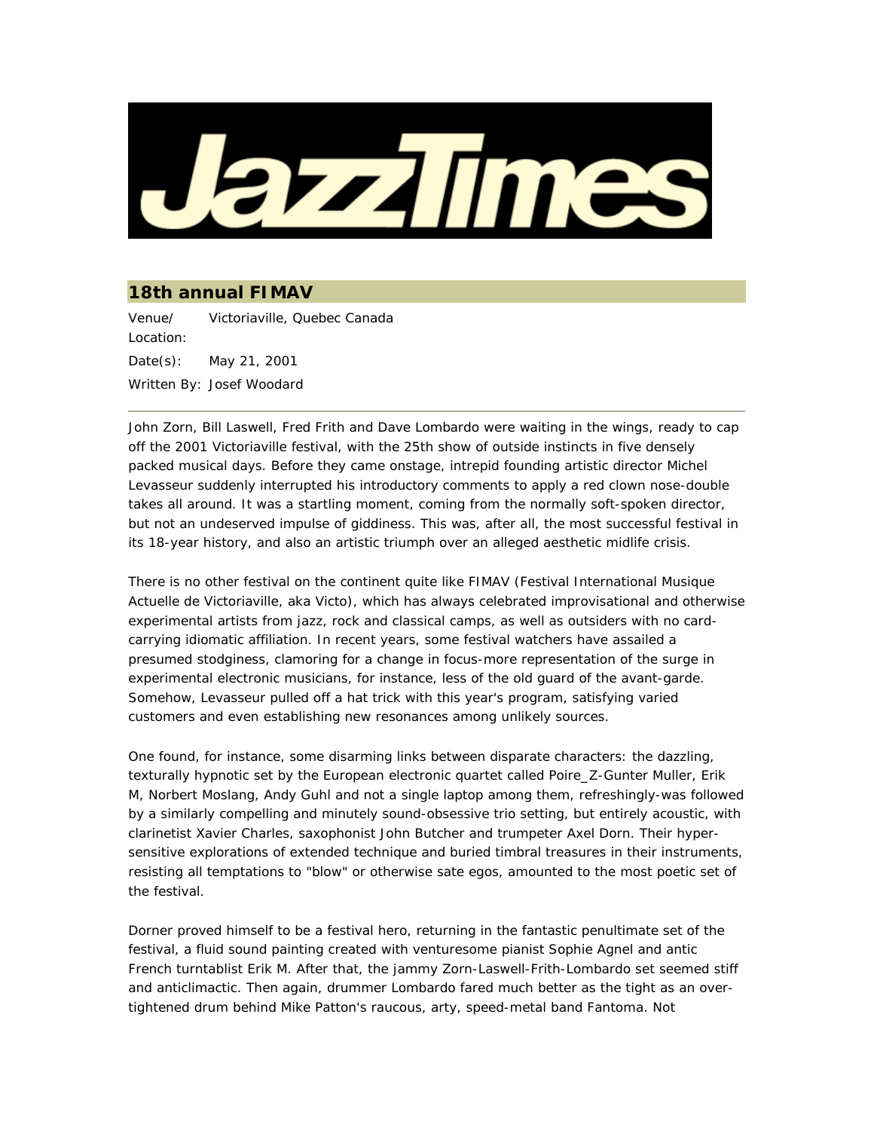

## **18th annual FIMAV**

Venue/ Location: Victoriaville, Quebec Canada Date(s): May 21, 2001 Written By: Josef Woodard

John Zorn, Bill Laswell, Fred Frith and Dave Lombardo were waiting in the wings, ready to cap off the 2001 Victoriaville festival, with the 25th show of outside instincts in five densely packed musical days. Before they came onstage, intrepid founding artistic director Michel Levasseur suddenly interrupted his introductory comments to apply a red clown nose-double takes all around. It was a startling moment, coming from the normally soft-spoken director, but not an undeserved impulse of giddiness. This was, after all, the most successful festival in its 18-year history, and also an artistic triumph over an alleged aesthetic midlife crisis.

There is no other festival on the continent quite like FIMAV (Festival International Musique Actuelle de Victoriaville, aka Victo), which has always celebrated improvisational and otherwise experimental artists from jazz, rock and classical camps, as well as outsiders with no cardcarrying idiomatic affiliation. In recent years, some festival watchers have assailed a presumed stodginess, clamoring for a change in focus-more representation of the surge in experimental electronic musicians, for instance, less of the old quard of the avant-garde. Somehow, Levasseur pulled off a hat trick with this year's program, satisfying varied customers and even establishing new resonances among unlikely sources.

One found, for instance, some disarming links between disparate characters: the dazzling, texturally hypnotic set by the European electronic quartet called Poire\_Z-Gunter Muller, Erik M, Norbert Moslang, Andy Guhl and not a single laptop among them, refreshingly-was followed by a similarly compelling and minutely sound-obsessive trio setting, but entirely acoustic, with clarinetist Xavier Charles, saxophonist John Butcher and trumpeter Axel Dorn. Their hypersensitive explorations of extended technique and buried timbral treasures in their instruments, resisting all temptations to "blow" or otherwise sate egos, amounted to the most poetic set of the festival.

Dorner proved himself to be a festival hero, returning in the fantastic penultimate set of the festival, a fluid sound painting created with venturesome pianist Sophie Agnel and antic French turntablist Erik M. After that, the jammy Zorn-Laswell-Frith-Lombardo set seemed stiff and anticlimactic. Then again, drummer Lombardo fared much better as the tight as an overtightened drum behind Mike Patton's raucous, arty, speed-metal band Fantoma. Not